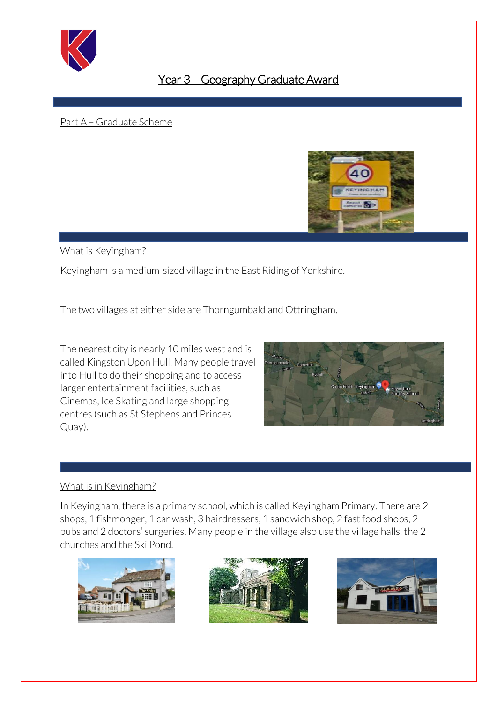

# Year 3 – Geography Graduate Award

ׅׅ֚֡֝֬֝

#### Part A – Graduate Scheme



#### What is Keyingham?

Keyingham is a medium-sized village in the East Riding of Yorkshire.

The two villages at either side are Thorngumbald and Ottringham.

The nearest city is nearly 10 miles west and is called Kingston Upon Hull. Many people travel into Hull to do their shopping and to access larger entertainment facilities, such as Cinemas, Ice Skating and large shopping centres (such as St Stephens and Princes Quay).



# What is in Keyingham?

In Keyingham, there is a primary school, which is called Keyingham Primary. There are 2 shops, 1 fishmonger, 1 car wash, 3 hairdressers, 1 sandwich shop, 2 fast food shops, 2 pubs and 2 doctors' surgeries. Many people in the village also use the village halls, the 2 churches and the Ski Pond.





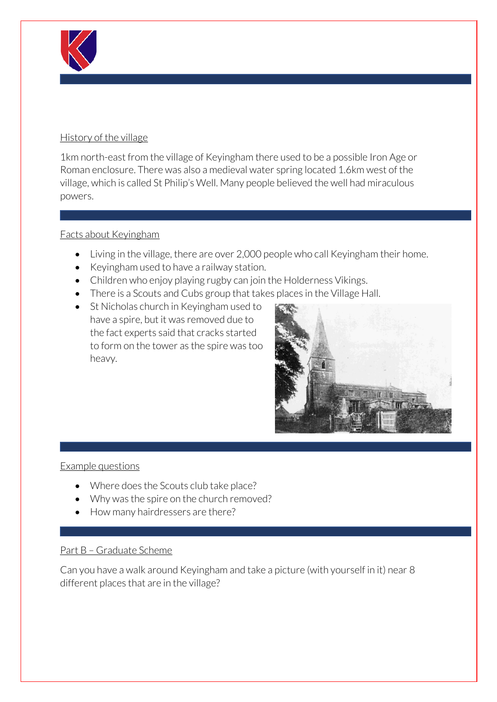

# History of the village

1km north-east from the village of Keyingham there used to be a possible Iron Age or Roman enclosure. There was also a medieval water spring located 1.6km west of the village, which is called St Philip's Well. Many people believed the well had miraculous powers.

# Facts about Keyingham

- Living in the village, there are over 2,000 people who call Keyingham their home.
- Keyingham used to have a railway station.
- Children who enjoy playing rugby can join the Holderness Vikings.
- There is a Scouts and Cubs group that takes places in the Village Hall.
- St Nicholas church in Kevingham used to have a spire, but it was removed due to the fact experts said that cracks started to form on the tower as the spire was too heavy.



# Example questions

- Where does the Scouts club take place?
- Why was the spire on the church removed?
- How many hairdressers are there?

# Part B – Graduate Scheme

Can you have a walk around Keyingham and take a picture (with yourself in it) near 8 different places that are in the village?